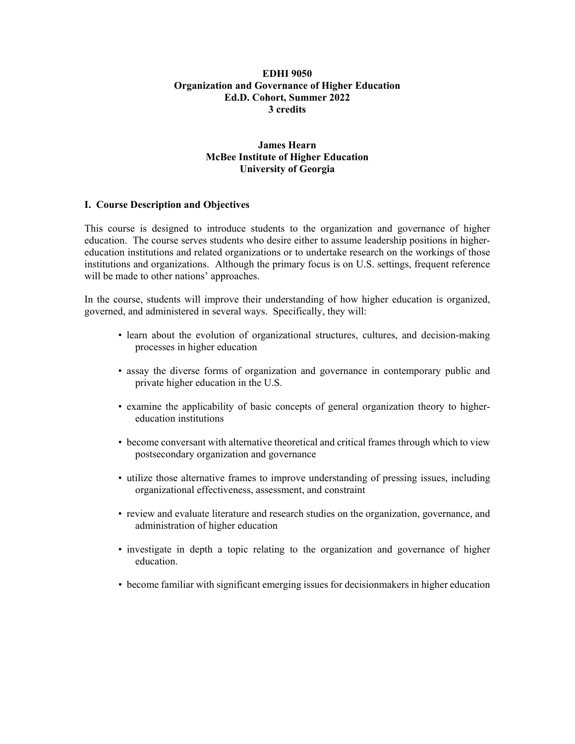### **EDHI 9050 Organization and Governance of Higher Education Ed.D. Cohort, Summer 2022 3 credits**

## **James Hearn McBee Institute of Higher Education University of Georgia**

### **I. Course Description and Objectives**

This course is designed to introduce students to the organization and governance of higher education. The course serves students who desire either to assume leadership positions in highereducation institutions and related organizations or to undertake research on the workings of those institutions and organizations. Although the primary focus is on U.S. settings, frequent reference will be made to other nations' approaches.

In the course, students will improve their understanding of how higher education is organized, governed, and administered in several ways. Specifically, they will:

- learn about the evolution of organizational structures, cultures, and decision-making processes in higher education
- assay the diverse forms of organization and governance in contemporary public and private higher education in the U.S.
- examine the applicability of basic concepts of general organization theory to highereducation institutions
- become conversant with alternative theoretical and critical frames through which to view postsecondary organization and governance
- utilize those alternative frames to improve understanding of pressing issues, including organizational effectiveness, assessment, and constraint
- review and evaluate literature and research studies on the organization, governance, and administration of higher education
- investigate in depth a topic relating to the organization and governance of higher education.
- become familiar with significant emerging issues for decisionmakers in higher education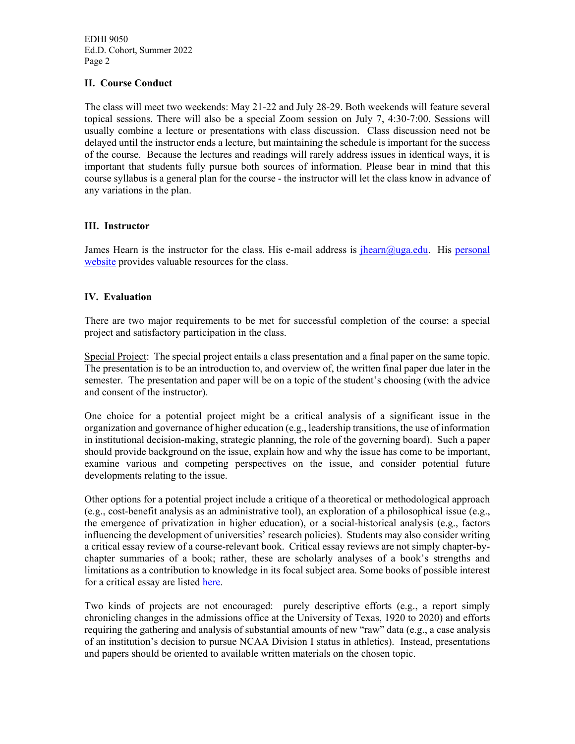## **II. Course Conduct**

The class will meet two weekends: May 21-22 and July 28-29. Both weekends will feature several topical sessions. There will also be a special Zoom session on July 7, 4:30-7:00. Sessions will usually combine a lecture or presentations with class discussion. Class discussion need not be delayed until the instructor ends a lecture, but maintaining the schedule is important for the success of the course. Because the lectures and readings will rarely address issues in identical ways, it is important that students fully pursue both sources of information. Please bear in mind that this course syllabus is a general plan for the course - the instructor will let the class know in advance of any variations in the plan.

#### **III. Instructor**

James Hearn is the instructor for the class. His e-mail address is [jhearn@uga.edu.](mailto:jhearn@uga.edu) His personal [website](http://www.hearnsite.org/) provides valuable resources for the class.

### **IV. Evaluation**

There are two major requirements to be met for successful completion of the course: a special project and satisfactory participation in the class.

Special Project: The special project entails a class presentation and a final paper on the same topic. The presentation is to be an introduction to, and overview of, the written final paper due later in the semester. The presentation and paper will be on a topic of the student's choosing (with the advice and consent of the instructor).

One choice for a potential project might be a critical analysis of a significant issue in the organization and governance of higher education (e.g., leadership transitions, the use of information in institutional decision-making, strategic planning, the role of the governing board). Such a paper should provide background on the issue, explain how and why the issue has come to be important, examine various and competing perspectives on the issue, and consider potential future developments relating to the issue.

Other options for a potential project include a critique of a theoretical or methodological approach (e.g., cost-benefit analysis as an administrative tool), an exploration of a philosophical issue (e.g., the emergence of privatization in higher education), or a social-historical analysis (e.g., factors influencing the development of universities' research policies). Students may also consider writing a critical essay review of a course-relevant book. Critical essay reviews are not simply chapter-bychapter summaries of a book; rather, these are scholarly analyses of a book's strengths and limitations as a contribution to knowledge in its focal subject area. Some books of possible interest for a critical essay are listed [here.](https://www.hearnsite.org/relevantbooks)

Two kinds of projects are not encouraged: purely descriptive efforts (e.g., a report simply chronicling changes in the admissions office at the University of Texas, 1920 to 2020) and efforts requiring the gathering and analysis of substantial amounts of new "raw" data (e.g., a case analysis of an institution's decision to pursue NCAA Division I status in athletics). Instead, presentations and papers should be oriented to available written materials on the chosen topic.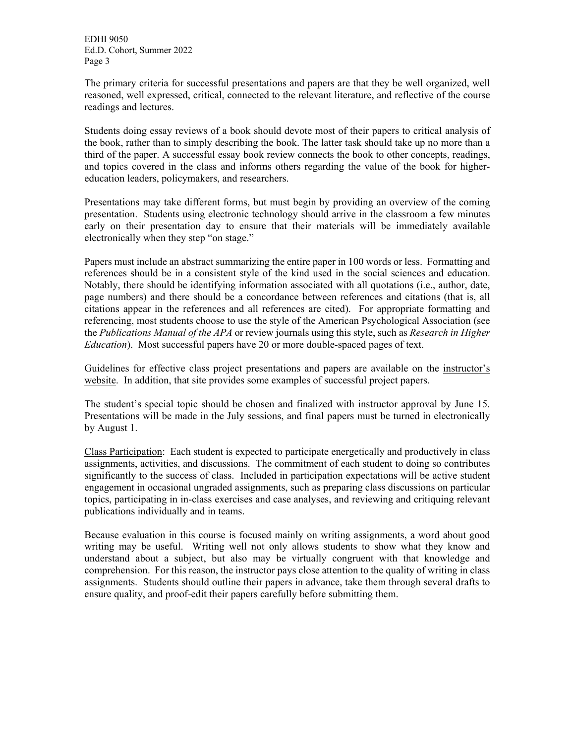The primary criteria for successful presentations and papers are that they be well organized, well reasoned, well expressed, critical, connected to the relevant literature, and reflective of the course readings and lectures.

Students doing essay reviews of a book should devote most of their papers to critical analysis of the book, rather than to simply describing the book. The latter task should take up no more than a third of the paper. A successful essay book review connects the book to other concepts, readings, and topics covered in the class and informs others regarding the value of the book for highereducation leaders, policymakers, and researchers.

Presentations may take different forms, but must begin by providing an overview of the coming presentation. Students using electronic technology should arrive in the classroom a few minutes early on their presentation day to ensure that their materials will be immediately available electronically when they step "on stage."

Papers must include an abstract summarizing the entire paper in 100 words or less. Formatting and references should be in a consistent style of the kind used in the social sciences and education. Notably, there should be identifying information associated with all quotations (i.e., author, date, page numbers) and there should be a concordance between references and citations (that is, all citations appear in the references and all references are cited). For appropriate formatting and referencing, most students choose to use the style of the American Psychological Association (see the *Publications Manual of the APA* or review journals using this style, such as *Research in Higher Education*). Most successful papers have 20 or more double-spaced pages of text.

Guidelines for effective class project presentations and papers are available on the [instructor's](http://www.hearnsite.org/)  [website.](http://www.hearnsite.org/) In addition, that site provides some examples of successful project papers.

The student's special topic should be chosen and finalized with instructor approval by June 15. Presentations will be made in the July sessions, and final papers must be turned in electronically by August 1.

Class Participation: Each student is expected to participate energetically and productively in class assignments, activities, and discussions. The commitment of each student to doing so contributes significantly to the success of class. Included in participation expectations will be active student engagement in occasional ungraded assignments, such as preparing class discussions on particular topics, participating in in-class exercises and case analyses, and reviewing and critiquing relevant publications individually and in teams.

Because evaluation in this course is focused mainly on writing assignments, a word about good writing may be useful. Writing well not only allows students to show what they know and understand about a subject, but also may be virtually congruent with that knowledge and comprehension. For this reason, the instructor pays close attention to the quality of writing in class assignments. Students should outline their papers in advance, take them through several drafts to ensure quality, and proof-edit their papers carefully before submitting them.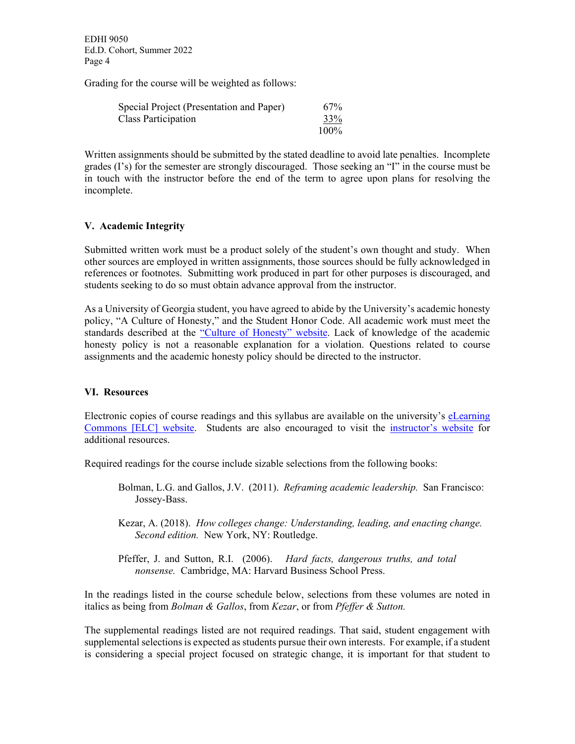Grading for the course will be weighted as follows:

| Special Project (Presentation and Paper) | 67%     |
|------------------------------------------|---------|
| Class Participation                      | 33%     |
|                                          | $100\%$ |

Written assignments should be submitted by the stated deadline to avoid late penalties. Incomplete grades (I's) for the semester are strongly discouraged. Those seeking an "I" in the course must be in touch with the instructor before the end of the term to agree upon plans for resolving the incomplete.

# **V. Academic Integrity**

Submitted written work must be a product solely of the student's own thought and study. When other sources are employed in written assignments, those sources should be fully acknowledged in references or footnotes. Submitting work produced in part for other purposes is discouraged, and students seeking to do so must obtain advance approval from the instructor.

As a University of Georgia student, you have agreed to abide by the University's academic honesty policy, "A Culture of Honesty," and the Student Honor Code. All academic work must meet the standards described at the ["Culture of Honesty" website.](https://honesty.uga.edu/Academic-Honesty-Policy/) Lack of knowledge of the academic honesty policy is not a reasonable explanation for a violation. Questions related to course assignments and the academic honesty policy should be directed to the instructor.

## **VI. Resources**

Electronic copies of course readings and this syllabus are available on the university's [eLearning](https://uga.view.usg.edu/)  [Commons \[ELC\] website.](https://uga.view.usg.edu/) Students are also encouraged to visit the [instructor's website](http://www.hearnsite.org/) for additional resources.

Required readings for the course include sizable selections from the following books:

- Bolman, L.G. and Gallos, J.V. (2011). *Reframing academic leadership.* San Francisco: Jossey-Bass.
- Kezar, A. (2018). *How colleges change: Understanding, leading, and enacting change. Second edition.* New York, NY: Routledge.
- Pfeffer, J. and Sutton, R.I. (2006). *Hard facts, dangerous truths, and total nonsense.* Cambridge, MA: Harvard Business School Press.

In the readings listed in the course schedule below, selections from these volumes are noted in italics as being from *Bolman & Gallos*, from *Kezar*, or from *Pfeffer & Sutton.*

The supplemental readings listed are not required readings. That said, student engagement with supplemental selections is expected as students pursue their own interests. For example, if a student is considering a special project focused on strategic change, it is important for that student to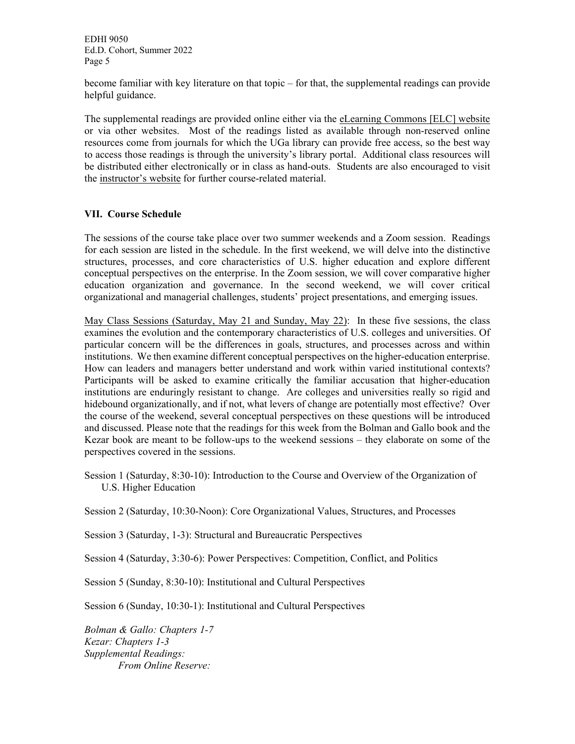become familiar with key literature on that topic – for that, the supplemental readings can provide helpful guidance.

The supplemental readings are provided online either via the [eLearning Commons \[ELC\] website](https://uga.view.usg.edu/) or via other websites. Most of the readings listed as available through non-reserved online resources come from journals for which the UGa library can provide free access, so the best way to access those readings is through the university's library portal. Additional class resources will be distributed either electronically or in class as hand-outs. Students are also encouraged to visit the [instructor's website](http://www.hearnsite.org/) for further course-related material.

# **VII. Course Schedule**

The sessions of the course take place over two summer weekends and a Zoom session. Readings for each session are listed in the schedule. In the first weekend, we will delve into the distinctive structures, processes, and core characteristics of U.S. higher education and explore different conceptual perspectives on the enterprise. In the Zoom session, we will cover comparative higher education organization and governance. In the second weekend, we will cover critical organizational and managerial challenges, students' project presentations, and emerging issues.

May Class Sessions (Saturday, May 21 and Sunday, May 22): In these five sessions, the class examines the evolution and the contemporary characteristics of U.S. colleges and universities. Of particular concern will be the differences in goals, structures, and processes across and within institutions. We then examine different conceptual perspectives on the higher-education enterprise. How can leaders and managers better understand and work within varied institutional contexts? Participants will be asked to examine critically the familiar accusation that higher-education institutions are enduringly resistant to change. Are colleges and universities really so rigid and hidebound organizationally, and if not, what levers of change are potentially most effective? Over the course of the weekend, several conceptual perspectives on these questions will be introduced and discussed. Please note that the readings for this week from the Bolman and Gallo book and the Kezar book are meant to be follow-ups to the weekend sessions – they elaborate on some of the perspectives covered in the sessions.

Session 1 (Saturday, 8:30-10): Introduction to the Course and Overview of the Organization of U.S. Higher Education

Session 2 (Saturday, 10:30-Noon): Core Organizational Values, Structures, and Processes

Session 3 (Saturday, 1-3): Structural and Bureaucratic Perspectives

Session 4 (Saturday, 3:30-6): Power Perspectives: Competition, Conflict, and Politics

Session 5 (Sunday, 8:30-10): Institutional and Cultural Perspectives

Session 6 (Sunday, 10:30-1): Institutional and Cultural Perspectives

*Bolman & Gallo: Chapters 1-7 Kezar: Chapters 1-3 Supplemental Readings: From Online Reserve:*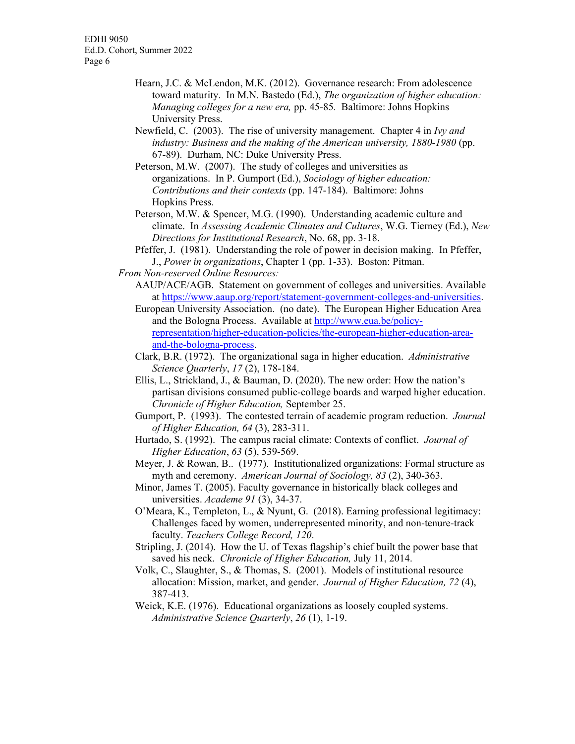- Hearn, J.C. & McLendon, M.K. (2012). Governance research: From adolescence toward maturity. In M.N. Bastedo (Ed.), *The* o*rganization of higher education: Managing colleges for a new era,* pp. 45-85*.* Baltimore: Johns Hopkins University Press.
- Newfield, C. (2003). The rise of university management. Chapter 4 in *Ivy and industry: Business and the making of the American university, 1880-1980* (pp. 67-89). Durham, NC: Duke University Press.
- Peterson, M.W. (2007). The study of colleges and universities as organizations. In P. Gumport (Ed.), *Sociology of higher education: Contributions and their contexts* (pp. 147-184). Baltimore: Johns Hopkins Press.
- Peterson, M.W. & Spencer, M.G. (1990). Understanding academic culture and climate. In *Assessing Academic Climates and Cultures*, W.G. Tierney (Ed.), *New Directions for Institutional Research*, No. 68, pp. 3-18.
- Pfeffer, J. (1981). Understanding the role of power in decision making. In Pfeffer, J., *Power in organizations*, Chapter 1 (pp. 1-33). Boston: Pitman.
- *From Non-reserved Online Resources:* 
	- AAUP/ACE/AGB. Statement on government of colleges and universities. Available at [https://www.aaup.org/report/statement-government-colleges-and-universities.](https://www.aaup.org/report/statement-government-colleges-and-universities)
	- European University Association. (no date). The European Higher Education Area and the Bologna Process. Available at [http://www.eua.be/policy](http://www.eua.be/policy-representation/higher-education-policies/the-european-higher-education-area-and-the-bologna-process)[representation/higher-education-policies/the-european-higher-education-area](http://www.eua.be/policy-representation/higher-education-policies/the-european-higher-education-area-and-the-bologna-process)[and-the-bologna-process.](http://www.eua.be/policy-representation/higher-education-policies/the-european-higher-education-area-and-the-bologna-process)
	- Clark, B.R. (1972). The organizational saga in higher education. *Administrative Science Quarterly*, *17* (2), 178-184.
	- Ellis, L., Strickland, J., & Bauman, D. (2020). The new order: How the nation's partisan divisions consumed public-college boards and warped higher education. *Chronicle of Higher Education,* September 25.
	- Gumport, P. (1993). The contested terrain of academic program reduction. *Journal of Higher Education, 64* (3), 283-311.
	- Hurtado, S. (1992). The campus racial climate: Contexts of conflict. *Journal of Higher Education*, *63* (5), 539-569.
	- Meyer, J. & Rowan, B.. (1977). Institutionalized organizations: Formal structure as myth and ceremony. *American Journal of Sociology, 83* (2), 340-363.
	- Minor, James T. (2005). Faculty governance in historically black colleges and universities. *Academe 91* (3), 34-37.
	- O'Meara, K., Templeton, L., & Nyunt, G. (2018). Earning professional legitimacy: Challenges faced by women, underrepresented minority, and non-tenure-track faculty. *Teachers College Record, 120*.
	- Stripling, J. (2014). How the U. of Texas flagship's chief built the power base that saved his neck. *Chronicle of Higher Education,* July 11, 2014.
	- Volk, C., Slaughter, S., & Thomas, S. (2001). Models of institutional resource allocation: Mission, market, and gender. *Journal of Higher Education, 72* (4), 387-413.
	- Weick, K.E. (1976). Educational organizations as loosely coupled systems. *Administrative Science Quarterly*, *26* (1), 1-19.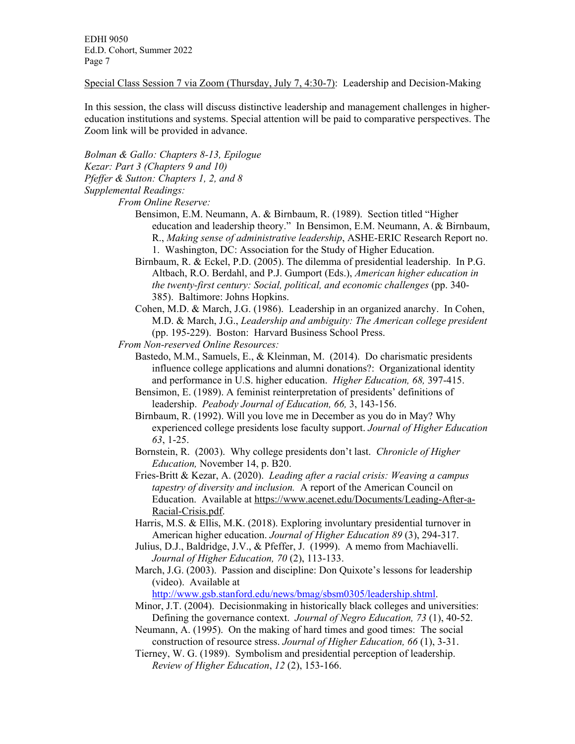Special Class Session 7 via Zoom (Thursday, July 7, 4:30-7): Leadership and Decision-Making

In this session, the class will discuss distinctive leadership and management challenges in highereducation institutions and systems. Special attention will be paid to comparative perspectives. The Zoom link will be provided in advance.

*Bolman & Gallo: Chapters 8-13, Epilogue Kezar: Part 3 (Chapters 9 and 10) Pfeffer & Sutton: Chapters 1, 2, and 8* 

*Supplemental Readings:* 

*From Online Reserve:*

- Bensimon, E.M. Neumann, A. & Birnbaum, R. (1989). Section titled "Higher education and leadership theory." In Bensimon, E.M. Neumann, A. & Birnbaum, R., *Making sense of administrative leadership*, ASHE-ERIC Research Report no. 1. Washington, DC: Association for the Study of Higher Education.
- Birnbaum, R. & Eckel, P.D. (2005). The dilemma of presidential leadership. In P.G. Altbach, R.O. Berdahl, and P.J. Gumport (Eds.), *American higher education in the twenty-first century: Social, political, and economic challenges* (pp. 340- 385). Baltimore: Johns Hopkins.
- Cohen, M.D. & March, J.G. (1986). Leadership in an organized anarchy. In Cohen, M.D. & March, J.G., *Leadership and ambiguity: The American college president* (pp. 195-229). Boston: Harvard Business School Press.
- *From Non-reserved Online Resources:*
	- Bastedo, M.M., Samuels, E., & Kleinman, M. (2014). Do charismatic presidents influence college applications and alumni donations?: Organizational identity and performance in U.S. higher education. *Higher Education, 68,* 397-415.
	- Bensimon, E. (1989). A feminist reinterpretation of presidents' definitions of leadership. *Peabody Journal of Education, 66,* 3, 143-156.
	- Birnbaum, R. (1992). Will you love me in December as you do in May? Why experienced college presidents lose faculty support. *Journal of Higher Education 63*, 1-25.
	- Bornstein, R. (2003). Why college presidents don't last. *Chronicle of Higher Education,* November 14, p. B20.
	- Fries-Britt & Kezar, A. (2020). *Leading after a racial crisis: Weaving a campus tapestry of diversity and inclusion.* A report of the American Council on Education. Available at [https://www.acenet.edu/Documents/Leading-After-a-](https://www.acenet.edu/Documents/Leading-After-a-Racial-Crisis.pdf)[Racial-Crisis.pdf.](https://www.acenet.edu/Documents/Leading-After-a-Racial-Crisis.pdf)
	- Harris, M.S. & Ellis, M.K. (2018). Exploring involuntary presidential turnover in American higher education. *Journal of Higher Education 89* (3), 294-317.
	- Julius, D.J., Baldridge, J.V., & Pfeffer, J. (1999). A memo from Machiavelli. *Journal of Higher Education, 70* (2), 113-133.
	- March, J.G. (2003). Passion and discipline: Don Quixote's lessons for leadership (video). Available at

[http://www.gsb.stanford.edu/news/bmag/sbsm0305/leadership.shtml.](http://www.gsb.stanford.edu/news/bmag/sbsm0305/leadership.shtml)

- Minor, J.T. (2004). Decisionmaking in historically black colleges and universities: Defining the governance context. *Journal of Negro Education, 73* (1), 40-52.
- Neumann, A. (1995). On the making of hard times and good times: The social construction of resource stress. *Journal of Higher Education, 66* (1), 3-31.
- Tierney, W. G. (1989). Symbolism and presidential perception of leadership. *Review of Higher Education*, *12* (2), 153-166.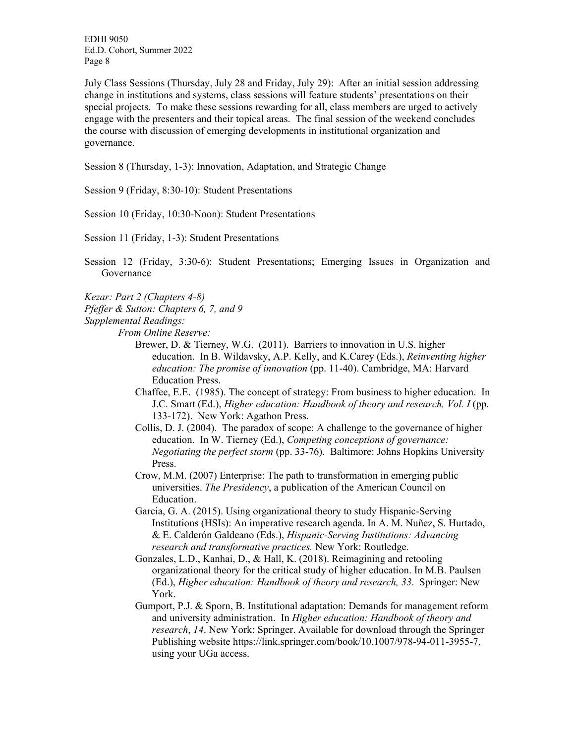July Class Sessions (Thursday, July 28 and Friday, July 29): After an initial session addressing change in institutions and systems, class sessions will feature students' presentations on their special projects. To make these sessions rewarding for all, class members are urged to actively engage with the presenters and their topical areas. The final session of the weekend concludes the course with discussion of emerging developments in institutional organization and governance.

Session 8 (Thursday, 1-3): Innovation, Adaptation, and Strategic Change

- Session 9 (Friday, 8:30-10): Student Presentations
- Session 10 (Friday, 10:30-Noon): Student Presentations

Session 11 (Friday, 1-3): Student Presentations

- Session 12 (Friday, 3:30-6): Student Presentations; Emerging Issues in Organization and Governance
- *Kezar: Part 2 (Chapters 4-8)*
- *Pfeffer & Sutton: Chapters 6, 7, and 9*
- *Supplemental Readings:* 
	- *From Online Reserve:*
		- Brewer, D. & Tierney, W.G. (2011). Barriers to innovation in U.S. higher education. In B. Wildavsky, A.P. Kelly, and K.Carey (Eds.), *Reinventing higher education: The promise of innovation* (pp. 11-40). Cambridge, MA: Harvard Education Press.
		- Chaffee, E.E. (1985). The concept of strategy: From business to higher education. In J.C. Smart (Ed.), *Higher education: Handbook of theory and research, Vol. I* (pp. 133-172). New York: Agathon Press.
		- Collis, D. J. (2004). The paradox of scope: A challenge to the governance of higher education. In W. Tierney (Ed.), *Competing conceptions of governance: Negotiating the perfect storm* (pp. 33-76). Baltimore: Johns Hopkins University Press.
		- Crow, M.M. (2007) Enterprise: The path to transformation in emerging public universities. *The Presidency*, a publication of the American Council on Education.
		- Garcia, G. A. (2015). Using organizational theory to study Hispanic-Serving Institutions (HSIs): An imperative research agenda. In A. M. Nuñez, S. Hurtado, & E. Calderón Galdeano (Eds.), *Hispanic-Serving Institutions: Advancing research and transformative practices.* New York: Routledge.
		- Gonzales, L.D., Kanhai, D., & Hall, K. (2018). Reimagining and retooling organizational theory for the critical study of higher education. In M.B. Paulsen (Ed.), *Higher education: Handbook of theory and research, 33*. Springer: New York.
		- Gumport, P.J. & Sporn, B. Institutional adaptation: Demands for management reform and university administration. In *Higher education: Handbook of theory and research*, *14*. New York: Springer. Available for download through the Springer Publishing website https://link.springer.com/book/10.1007/978-94-011-3955-7, using your UGa access.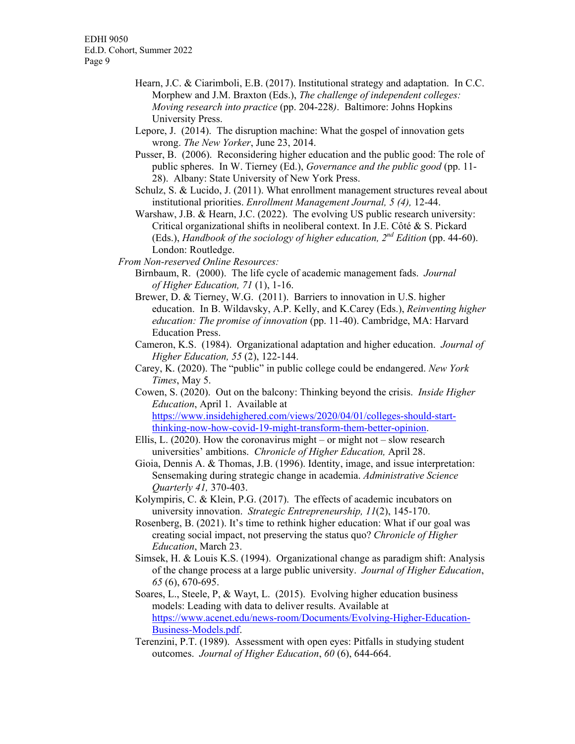- Hearn, J.C. & Ciarimboli, E.B. (2017). Institutional strategy and adaptation. In C.C. Morphew and J.M. Braxton (Eds.), *The challenge of independent colleges: Moving research into practice* (pp. 204-228*)*. Baltimore: Johns Hopkins University Press.
- Lepore, J. (2014). The disruption machine: What the gospel of innovation gets wrong. *The New Yorker*, June 23, 2014.
- Pusser, B. (2006). Reconsidering higher education and the public good: The role of public spheres. In W. Tierney (Ed.), *Governance and the public good* (pp. 11- 28). Albany: State University of New York Press.
- Schulz, S. & Lucido, J. (2011). What enrollment management structures reveal about institutional priorities. *Enrollment Management Journal, 5 (4),* 12-44.
- Warshaw, J.B. & Hearn, J.C. (2022). The evolving US public research university: Critical organizational shifts in neoliberal context. In J.E. Côté & S. Pickard (Eds.), *Handbook of the sociology of higher education, 2nd Edition* (pp. 44-60). London: Routledge.
- *From Non-reserved Online Resources:*
	- Birnbaum, R. (2000). The life cycle of academic management fads. *Journal of Higher Education, 71* (1), 1-16.
	- Brewer, D. & Tierney, W.G. (2011). Barriers to innovation in U.S. higher education. In B. Wildavsky, A.P. Kelly, and K.Carey (Eds.), *Reinventing higher education: The promise of innovation* (pp. 11-40). Cambridge, MA: Harvard Education Press.
	- Cameron, K.S. (1984). Organizational adaptation and higher education. *Journal of Higher Education, 55* (2), 122-144.
	- Carey, K. (2020). The "public" in public college could be endangered. *New York Times*, May 5.

Cowen, S. (2020). Out on the balcony: Thinking beyond the crisis. *Inside Higher Education*, April 1. Available at [https://www.insidehighered.com/views/2020/04/01/colleges-should-start](https://www.insidehighered.com/views/2020/04/01/colleges-should-start-thinking-now-how-covid-19-might-transform-them-better-opinion)[thinking-now-how-covid-19-might-transform-them-better-opinion.](https://www.insidehighered.com/views/2020/04/01/colleges-should-start-thinking-now-how-covid-19-might-transform-them-better-opinion)

- Ellis, L. (2020). How the coronavirus might or might not slow research universities' ambitions. *Chronicle of Higher Education,* April 28.
- Gioia, Dennis A. & Thomas, J.B. (1996). Identity, image, and issue interpretation: Sensemaking during strategic change in academia. *Administrative Science Quarterly 41,* 370-403.
- Kolympiris, C. & Klein, P.G. (2017). The effects of academic incubators on university innovation. *Strategic Entrepreneurship, 11*(2), 145-170.
- Rosenberg, B. (2021). It's time to rethink higher education: What if our goal was creating social impact, not preserving the status quo? *Chronicle of Higher Education*, March 23.
- Simsek, H. & Louis K.S. (1994). Organizational change as paradigm shift: Analysis of the change process at a large public university. *Journal of Higher Education*, *65* (6), 670-695.
- Soares, L., Steele, P, & Wayt, L. (2015). Evolving higher education business models: Leading with data to deliver results. Available at [https://www.acenet.edu/news-room/Documents/Evolving-Higher-Education-](https://www.acenet.edu/news-room/Documents/Evolving-Higher-Education-Business-Models.pdf)[Business-Models.pdf.](https://www.acenet.edu/news-room/Documents/Evolving-Higher-Education-Business-Models.pdf)
- Terenzini, P.T. (1989). Assessment with open eyes: Pitfalls in studying student outcomes. *Journal of Higher Education*, *60* (6), 644-664.